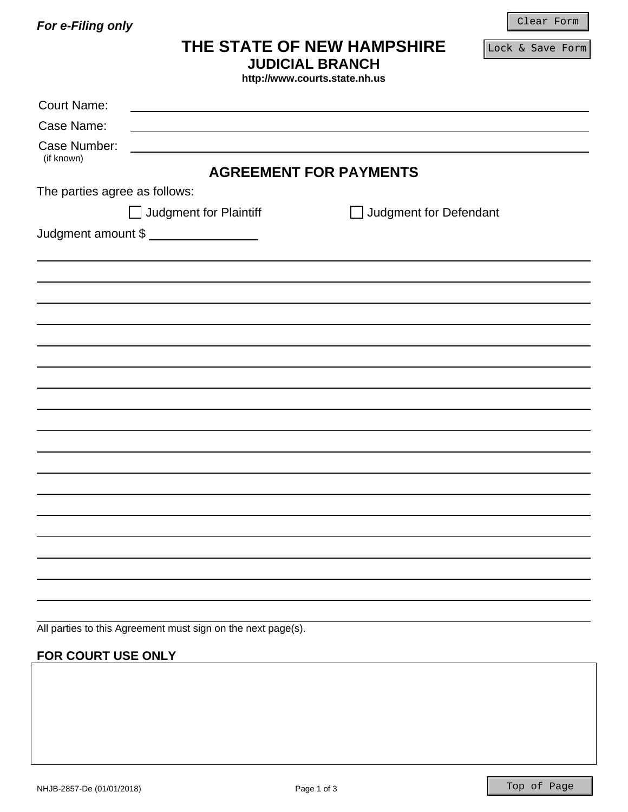*For e-Filing only* 

Clear Form

# **THE STATE OF NEW HAMPSHIRE**

Lock & Save Form

| <b>JUDICIAL BRANCH</b> |  |
|------------------------|--|
|------------------------|--|

**http://www.courts.state.nh.us** 

| <b>Court Name:</b>            |                                                              |                                        |  |
|-------------------------------|--------------------------------------------------------------|----------------------------------------|--|
| Case Name:                    |                                                              |                                        |  |
| Case Number:                  |                                                              |                                        |  |
| (if known)                    |                                                              | <b>AGREEMENT FOR PAYMENTS</b>          |  |
|                               |                                                              |                                        |  |
| The parties agree as follows: |                                                              |                                        |  |
|                               | Judgment for Plaintiff                                       | Judgment for Defendant<br>$\mathbf{L}$ |  |
|                               | Judgment amount \$                                           |                                        |  |
|                               |                                                              |                                        |  |
|                               |                                                              |                                        |  |
|                               |                                                              |                                        |  |
|                               |                                                              |                                        |  |
|                               |                                                              |                                        |  |
|                               |                                                              |                                        |  |
|                               |                                                              |                                        |  |
|                               |                                                              |                                        |  |
|                               |                                                              |                                        |  |
|                               |                                                              |                                        |  |
|                               |                                                              |                                        |  |
|                               |                                                              |                                        |  |
|                               |                                                              |                                        |  |
|                               |                                                              |                                        |  |
|                               |                                                              |                                        |  |
|                               |                                                              |                                        |  |
|                               |                                                              |                                        |  |
|                               |                                                              |                                        |  |
|                               | All parties to this Agreement must sign on the next page(s). |                                        |  |

## **FOR COURT USE ONLY**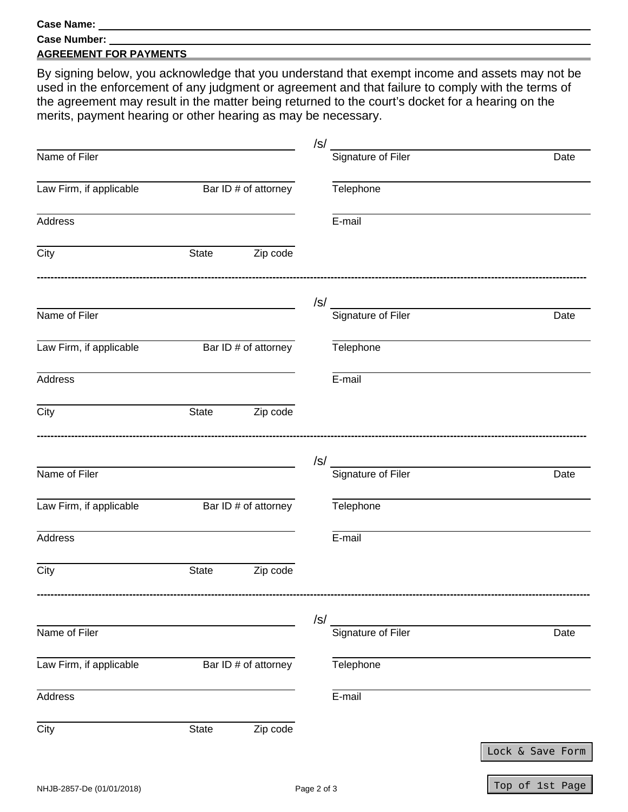#### **Case Name:**

| <b>Case Number:</b> |
|---------------------|
|                     |

### **AGREEMENT FOR PAYMENTS**

By signing below, you acknowledge that you understand that exempt income and assets may not be used in the enforcement of any judgment or agreement and that failure to comply with the terms of the agreement may result in the matter being returned to the court's docket for a hearing on the merits, payment hearing or other hearing as may be necessary.

|                         |       |                      | $\sqrt{s}$                       |                  |
|-------------------------|-------|----------------------|----------------------------------|------------------|
| Name of Filer           |       |                      | Signature of Filer               | Date             |
| Law Firm, if applicable |       | Bar ID # of attorney | Telephone                        |                  |
| <b>Address</b>          |       |                      | E-mail                           |                  |
| $\overline{C}$ ity      | State | Zip code             |                                  |                  |
|                         |       |                      | $\sqrt{s}$<br>Signature of Filer |                  |
| Name of Filer           |       |                      |                                  | Date             |
| Law Firm, if applicable |       | Bar ID # of attorney | Telephone                        |                  |
| Address                 |       |                      | E-mail                           |                  |
| City                    | State | Zip code             |                                  |                  |
|                         |       |                      | $\sqrt{s}$                       |                  |
| Name of Filer           |       |                      | Signature of Filer               | Date             |
| Law Firm, if applicable |       | Bar ID # of attorney | Telephone                        |                  |
| Address                 |       |                      | E-mail                           |                  |
| City                    | State | Zip code             |                                  |                  |
|                         |       |                      | $\sqrt{s}$                       |                  |
| Name of Filer           |       |                      | Signature of Filer               | Date             |
| Law Firm, if applicable |       | Bar ID # of attorney | Telephone                        |                  |
| Address                 |       |                      | E-mail                           |                  |
| City                    | State | Zip code             |                                  |                  |
|                         |       |                      |                                  | Lock & Save Form |